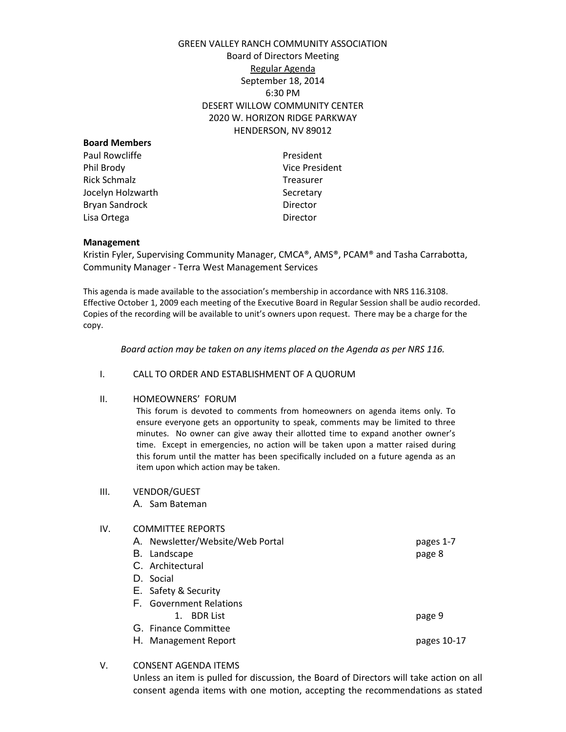# GREEN VALLEY RANCH COMMUNITY ASSOCIATION Board of Directors Meeting Regular Agenda September 18, 2014 6:30 PM DESERT WILLOW COMMUNITY CENTER 2020 W. HORIZON RIDGE PARKWAY HENDERSON, NV 89012

| <b>Board Members</b> |                   |
|----------------------|-------------------|
| Paul Rowcliffe       | President         |
| Phil Brody           | <b>Vice Presi</b> |
| Rick Schmalz         | Treasurer         |
| Jocelyn Holzwarth    | Secretary         |
| Bryan Sandrock       | Director          |
| Lisa Ortega          | Director          |
|                      |                   |

President

## **Management**

Kristin Fyler, Supervising Community Manager, CMCA®, AMS®, PCAM® and Tasha Carrabotta, Community Manager - Terra West Management Services

This agenda is made available to the association's membership in accordance with NRS 116.3108. Effective October 1, 2009 each meeting of the Executive Board in Regular Session shall be audio recorded. Copies of the recording will be available to unit's owners upon request. There may be a charge for the copy.

*Board action may be taken on any items placed on the Agenda as per NRS 116.*

### I. CALL TO ORDER AND ESTABLISHMENT OF A QUORUM

# II. HOMEOWNERS' FORUM

This forum is devoted to comments from homeowners on agenda items only. To ensure everyone gets an opportunity to speak, comments may be limited to three minutes. No owner can give away their allotted time to expand another owner's time. Except in emergencies, no action will be taken upon a matter raised during this forum until the matter has been specifically included on a future agenda as an item upon which action may be taken.

#### III. VENDOR/GUEST

A. Sam Bateman

## IV. COMMITTEE REPORTS

- A. Newsletter/Website/Web Portal pages 1-7 B. Landscape page 8 C. Architectural D. Social E. Safety & Security F. Government Relations 1. BDR List page 9 G. Finance Committee H. Management Report **pages 10-17**
- V. CONSENT AGENDA ITEMS

Unless an item is pulled for discussion, the Board of Directors will take action on all consent agenda items with one motion, accepting the recommendations as stated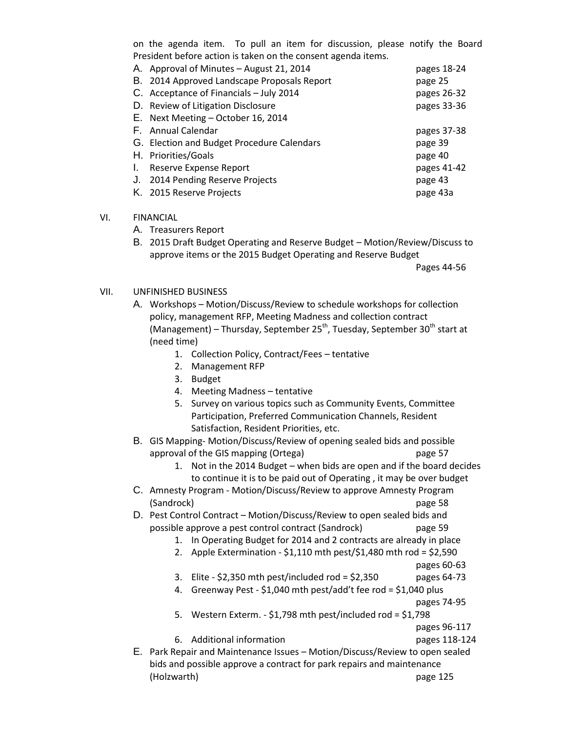on the agenda item. To pull an item for discussion, please notify the Board President before action is taken on the consent agenda items.

|    | A. Approval of Minutes - August 21, 2014    | pages 18-24 |
|----|---------------------------------------------|-------------|
|    | B. 2014 Approved Landscape Proposals Report | page 25     |
|    | C. Acceptance of Financials - July 2014     | pages 26-32 |
|    | D. Review of Litigation Disclosure          | pages 33-36 |
|    | E. Next Meeting - October 16, 2014          |             |
|    | F. Annual Calendar                          | pages 37-38 |
|    | G. Election and Budget Procedure Calendars  | page 39     |
|    | H. Priorities/Goals                         | page 40     |
| I. | Reserve Expense Report                      | pages 41-42 |
| J. | 2014 Pending Reserve Projects               | page 43     |
|    | K. 2015 Reserve Projects                    | page 43a    |

## VI. FINANCIAL

- A. Treasurers Report
- B. 2015 Draft Budget Operating and Reserve Budget Motion/Review/Discuss to approve items or the 2015 Budget Operating and Reserve Budget

Pages 44-56

- VII. UNFINISHED BUSINESS
	- A. Workshops Motion/Discuss/Review to schedule workshops for collection policy, management RFP, Meeting Madness and collection contract (Management) – Thursday, September 25<sup>th</sup>, Tuesday, September 30<sup>th</sup> start at (need time)
		- 1. Collection Policy, Contract/Fees tentative
		- 2. Management RFP
		- 3. Budget
		- 4. Meeting Madness tentative
		- 5. Survey on various topics such as Community Events, Committee Participation, Preferred Communication Channels, Resident Satisfaction, Resident Priorities, etc.
	- B. GIS Mapping- Motion/Discuss/Review of opening sealed bids and possible approval of the GIS mapping (Ortega) page 57
		- 1. Not in the 2014 Budget when bids are open and if the board decides to continue it is to be paid out of Operating , it may be over budget
	- C. Amnesty Program Motion/Discuss/Review to approve Amnesty Program (Sandrock) page 58
	- D. Pest Control Contract Motion/Discuss/Review to open sealed bids and possible approve a pest control contract (Sandrock) page 59
		- 1. In Operating Budget for 2014 and 2 contracts are already in place
		- 2. Apple Extermination \$1,110 mth pest/\$1,480 mth rod = \$2,590
			- pages 60-63
		- 3. Elite  $$2,350$  mth pest/included rod =  $$2,350$  pages 64-73
		- 4. Greenway Pest \$1,040 mth pest/add't fee rod = \$1,040 plus
			- pages 74-95
		- 5. Western Exterm. \$1,798 mth pest/included rod = \$1,798

pages 96-117

- 6. Additional information pages 118-124
- E. Park Repair and Maintenance Issues Motion/Discuss/Review to open sealed bids and possible approve a contract for park repairs and maintenance (Holzwarth) page 125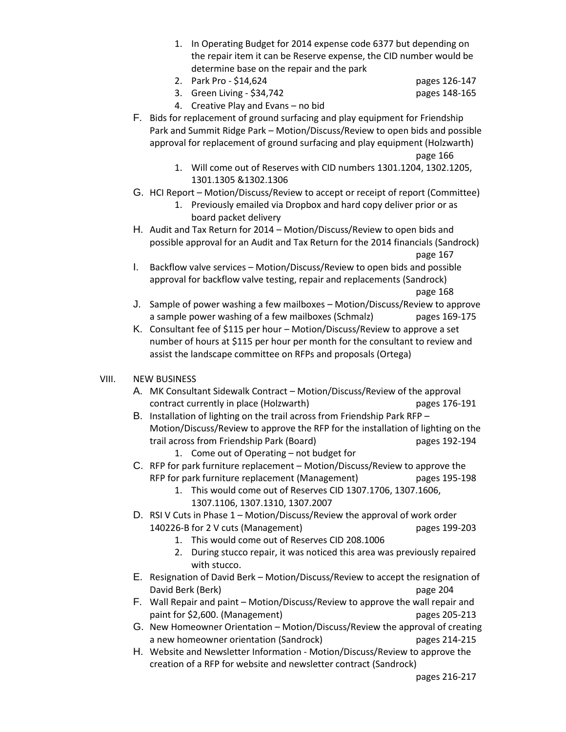- 1. In Operating Budget for 2014 expense code 6377 but depending on the repair item it can be Reserve expense, the CID number would be determine base on the repair and the park
- 2. Park Pro \$14,624 pages 126-147
	-
- 3. Green Living \$34,742 pages 148-165

- 4. Creative Play and Evans no bid
- F. Bids for replacement of ground surfacing and play equipment for Friendship Park and Summit Ridge Park – Motion/Discuss/Review to open bids and possible approval for replacement of ground surfacing and play equipment (Holzwarth) page 166
	- 1. Will come out of Reserves with CID numbers 1301.1204, 1302.1205, 1301.1305 &1302.1306
- G. HCI Report Motion/Discuss/Review to accept or receipt of report (Committee)
	- 1. Previously emailed via Dropbox and hard copy deliver prior or as board packet delivery
- H. Audit and Tax Return for 2014 Motion/Discuss/Review to open bids and possible approval for an Audit and Tax Return for the 2014 financials (Sandrock) page 167
- I. Backflow valve services Motion/Discuss/Review to open bids and possible approval for backflow valve testing, repair and replacements (Sandrock) page 168
- J. Sample of power washing a few mailboxes Motion/Discuss/Review to approve a sample power washing of a few mailboxes (Schmalz) pages 169-175
- K. Consultant fee of \$115 per hour Motion/Discuss/Review to approve a set number of hours at \$115 per hour per month for the consultant to review and assist the landscape committee on RFPs and proposals (Ortega)

# VIII. NEW BUSINESS

- A. MK Consultant Sidewalk Contract Motion/Discuss/Review of the approval contract currently in place (Holzwarth) pages 176-191
- B. Installation of lighting on the trail across from Friendship Park RFP Motion/Discuss/Review to approve the RFP for the installation of lighting on the trail across from Friendship Park (Board) pages 192-194
	- 1. Come out of Operating not budget for
- C. RFP for park furniture replacement Motion/Discuss/Review to approve the RFP for park furniture replacement (Management) pages 195-198
	- 1. This would come out of Reserves CID 1307.1706, 1307.1606, 1307.1106, 1307.1310, 1307.2007
- D. RSI V Cuts in Phase 1 Motion/Discuss/Review the approval of work order 140226-B for 2 V cuts (Management) pages 199-203
	- 1. This would come out of Reserves CID 208.1006
	- 2. During stucco repair, it was noticed this area was previously repaired with stucco.
- E. Resignation of David Berk Motion/Discuss/Review to accept the resignation of David Berk (Berk) page 204
- F. Wall Repair and paint Motion/Discuss/Review to approve the wall repair and paint for \$2,600. (Management) pages 205-213
- G. New Homeowner Orientation Motion/Discuss/Review the approval of creating a new homeowner orientation (Sandrock) pages 214-215
- H. Website and Newsletter Information Motion/Discuss/Review to approve the creation of a RFP for website and newsletter contract (Sandrock)